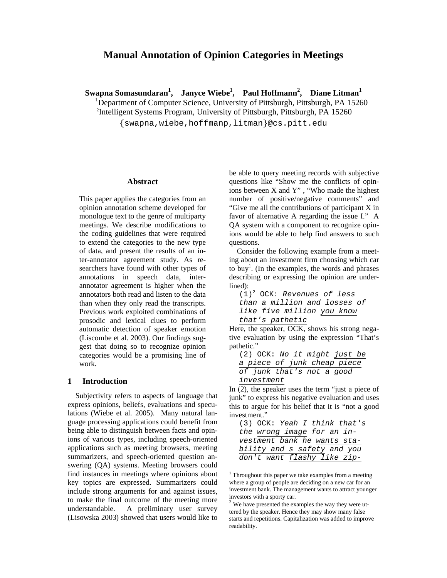# **Manual Annotation of Opinion Categories in Meetings**

**Swapna Somasundaran<sup>1</sup> , Janyce Wiebe1 , Paul Hoffmann<sup>2</sup> , Diane Litman<sup>1</sup>**

<sup>1</sup>Department of Computer Science, University of Pittsburgh, Pittsburgh, PA 15260<sup>2</sup>Intelligent Systems Program, University of Pittsburgh, Pittsburgh, PA 15260

{swapna,wiebe,hoffmanp,litman}@cs.pitt.edu

#### **Abstract**

This paper applies the categories from an opinion annotation scheme developed for monologue text to the genre of multiparty meetings. We describe modifications to the coding guidelines that were required to extend the categories to the new type of data, and present the results of an inter-annotator agreement study. As researchers have found with other types of annotations in speech data, interannotator agreement is higher when the annotators both read and listen to the data than when they only read the transcripts. Previous work exploited combinations of prosodic and lexical clues to perform automatic detection of speaker emotion (Liscombe et al. 2003). Our findings suggest that doing so to recognize opinion categories would be a promising line of work.

#### **1 Introduction**

Subjectivity refers to aspects of language that express opinions, beliefs, evaluations and speculations (Wiebe et al. 2005). Many natural language processing applications could benefit from being able to distinguish between facts and opinions of various types, including speech-oriented applications such as meeting browsers, meeting summarizers, and speech-oriented question answering (QA) systems. Meeting browsers could find instances in meetings where opinions about key topics are expressed. Summarizers could include strong arguments for and against issues, to make the final outcome of the meeting more understandable. A preliminary user survey (Lisowska 2003) showed that users would like to

be able to query meeting records with subjective questions like "Show me the conflicts of opinions between X and Y" , "Who made the highest number of positive/negative comments" and "Give me all the contributions of participant X in favor of alternative A regarding the issue I." A QA system with a component to recognize opinions would be able to help find answers to such questions.

Consider the following example from a meeting about an investment firm choosing which car to buy<sup>1</sup>. (In the examples, the words and phrases describing or expressing the opinion are underlined):

(1)2 OCK: *Revenues of less than a million and losses of like five million you know that's pathetic*

Here, the speaker, OCK, shows his strong negative evaluation by using the expression "That's pathetic."

(2) OCK: *No it might just be a piece of junk cheap piece of junk that's not a good investment*

In (2), the speaker uses the term "just a piece of junk" to express his negative evaluation and uses this to argue for his belief that it is "not a good investment."

<sup>&</sup>lt;sup>1</sup> Throughout this paper we take examples from a meeting where a group of people are deciding on a new car for an investment bank. The management wants to attract younger investors with a sporty car.

 $2$  We have presented the examples the way they were uttered by the speaker. Hence they may show many false starts and repetitions. Capitalization was added to improve readability.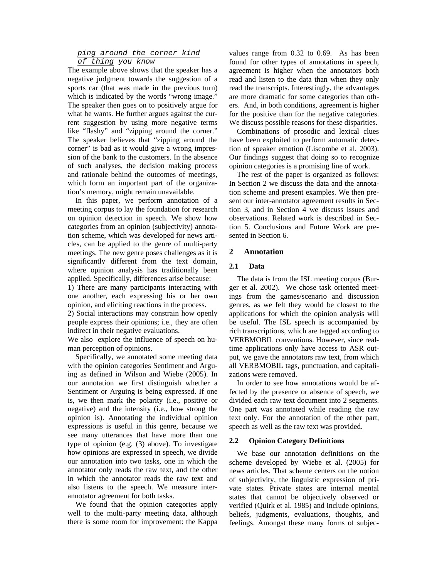# *ping around the corner kind*

# *of thing you know*

The example above shows that the speaker has a negative judgment towards the suggestion of a sports car (that was made in the previous turn) which is indicated by the words "wrong image." The speaker then goes on to positively argue for what he wants. He further argues against the current suggestion by using more negative terms like "flashy" and "zipping around the corner." The speaker believes that "zipping around the corner" is bad as it would give a wrong impression of the bank to the customers. In the absence of such analyses, the decision making process and rationale behind the outcomes of meetings, which form an important part of the organization's memory, might remain unavailable.

In this paper, we perform annotation of a meeting corpus to lay the foundation for research on opinion detection in speech. We show how categories from an opinion (subjectivity) annotation scheme, which was developed for news articles, can be applied to the genre of multi-party meetings. The new genre poses challenges as it is significantly different from the text domain, where opinion analysis has traditionally been applied. Specifically, differences arise because:

1) There are many participants interacting with one another, each expressing his or her own opinion, and eliciting reactions in the process.

2) Social interactions may constrain how openly people express their opinions; i.e., they are often indirect in their negative evaluations.

We also explore the influence of speech on human perception of opinions.

Specifically, we annotated some meeting data with the opinion categories Sentiment and Arguing as defined in Wilson and Wiebe (2005). In our annotation we first distinguish whether a Sentiment or Arguing is being expressed. If one is, we then mark the polarity (i.e., positive or negative) and the intensity (i.e., how strong the opinion is). Annotating the individual opinion expressions is useful in this genre, because we see many utterances that have more than one type of opinion (e.g. (3) above). To investigate how opinions are expressed in speech, we divide our annotation into two tasks, one in which the annotator only reads the raw text, and the other in which the annotator reads the raw text and also listens to the speech. We measure interannotator agreement for both tasks.

We found that the opinion categories apply well to the multi-party meeting data, although there is some room for improvement: the Kappa values range from 0.32 to 0.69. As has been found for other types of annotations in speech, agreement is higher when the annotators both read and listen to the data than when they only read the transcripts. Interestingly, the advantages are more dramatic for some categories than others. And, in both conditions, agreement is higher for the positive than for the negative categories. We discuss possible reasons for these disparities.

Combinations of prosodic and lexical clues have been exploited to perform automatic detection of speaker emotion (Liscombe et al. 2003). Our findings suggest that doing so to recognize opinion categories is a promising line of work.

The rest of the paper is organized as follows: In Section 2 we discuss the data and the annotation scheme and present examples. We then present our inter-annotator agreement results in Section 3, and in Section 4 we discuss issues and observations. Related work is described in Section 5. Conclusions and Future Work are presented in Section 6.

### **2 Annotation**

### **2.1 Data**

The data is from the ISL meeting corpus (Burger et al. 2002). We chose task oriented meetings from the games/scenario and discussion genres, as we felt they would be closest to the applications for which the opinion analysis will be useful. The ISL speech is accompanied by rich transcriptions, which are tagged according to VERBMOBIL conventions. However, since realtime applications only have access to ASR output, we gave the annotators raw text, from which all VERBMOBIL tags, punctuation, and capitalizations were removed.

In order to see how annotations would be affected by the presence or absence of speech, we divided each raw text document into 2 segments. One part was annotated while reading the raw text only. For the annotation of the other part, speech as well as the raw text was provided.

#### **2.2 Opinion Category Definitions**

We base our annotation definitions on the scheme developed by Wiebe et al. (2005) for news articles. That scheme centers on the notion of subjectivity, the linguistic expression of private states. Private states are internal mental states that cannot be objectively observed or verified (Quirk et al. 1985) and include opinions, beliefs, judgments, evaluations, thoughts, and feelings. Amongst these many forms of subjec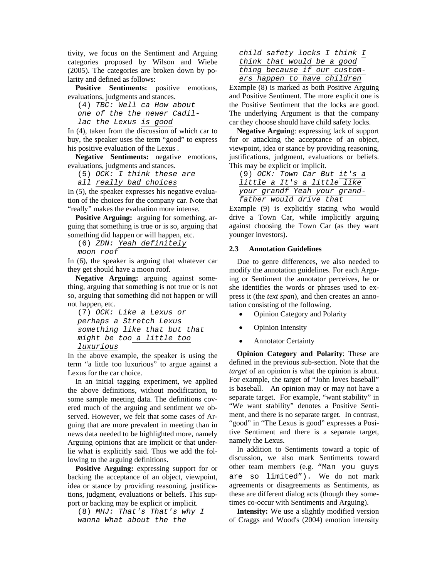tivity, we focus on the Sentiment and Arguing categories proposed by Wilson and Wiebe (2005). The categories are broken down by polarity and defined as follows:

Positive Sentiments: positive emotions, evaluations, judgments and stances.

(4) *TBC: Well ca How about* 

*one of the the newer Cadil-*

*lac the Lexus is good*

In (4), taken from the discussion of which car to buy, the speaker uses the term "good" to express his positive evaluation of the Lexus .

**Negative Sentiments:** negative emotions, evaluations, judgments and stances.

(5) *OCK: I think these are* 

*all really bad choices*

In (5), the speaker expresses his negative evaluation of the choices for the company car. Note that "really" makes the evaluation more intense.

**Positive Arguing:** arguing for something, arguing that something is true or is so, arguing that something did happen or will happen, etc.

(6) *ZDN: Yeah definitely* 

*moon roof*

In (6), the speaker is arguing that whatever car they get should have a moon roof.

**Negative Arguing:** arguing against something, arguing that something is not true or is not so, arguing that something did not happen or will not happen, etc.

```
(7) OCK: Like a Lexus or 
perhaps a Stretch Lexus 
something like that but that 
might be too a little too 
luxurious
```
In the above example, the speaker is using the term "a little too luxurious" to argue against a Lexus for the car choice.

In an initial tagging experiment, we applied the above definitions, without modification, to some sample meeting data. The definitions covered much of the arguing and sentiment we observed. However, we felt that some cases of Arguing that are more prevalent in meeting than in news data needed to be highlighted more, namely Arguing opinions that are implicit or that underlie what is explicitly said. Thus we add the following to the arguing definitions.

**Positive Arguing:** expressing support for or backing the acceptance of an object, viewpoint, idea or stance by providing reasoning, justifications, judgment, evaluations or beliefs. This support or backing may be explicit or implicit.

(8) *MHJ: That's That's why I wanna What about the the* 

| child safety locks I think I |  |  |  |  |
|------------------------------|--|--|--|--|
| think that would be a good   |  |  |  |  |
| thing because if our custom- |  |  |  |  |
| ers happen to have children  |  |  |  |  |
|                              |  |  |  |  |

Example (8) is marked as both Positive Arguing and Positive Sentiment. The more explicit one is the Positive Sentiment that the locks are good. The underlying Argument is that the company car they choose should have child safety locks.

**Negative Arguin**g: expressing lack of support for or attacking the acceptance of an object, viewpoint, idea or stance by providing reasoning, justifications, judgment, evaluations or beliefs. This may be explicit or implicit.

(9) *OCK: Town Car But it's a little a It's a little like your grandf Yeah your grandfather would drive that*

Example (9) is explicitly stating who would drive a Town Car, while implicitly arguing against choosing the Town Car (as they want younger investors).

### **2.3 Annotation Guidelines**

Due to genre differences, we also needed to modify the annotation guidelines. For each Arguing or Sentiment the annotator perceives, he or she identifies the words or phrases used to express it (the *text span*), and then creates an annotation consisting of the following.

- Opinion Category and Polarity
- Opinion Intensity
- **Annotator Certainty**

**Opinion Category and Polarity**: These are defined in the previous sub-section. Note that the *target* of an opinion is what the opinion is about. For example, the target of "John loves baseball" is baseball. An opinion may or may not have a separate target. For example, "want stability" in "We want stability" denotes a Positive Sentiment, and there is no separate target. In contrast, "good" in "The Lexus is good" expresses a Positive Sentiment and there is a separate target, namely the Lexus.

In addition to Sentiments toward a topic of discussion, we also mark Sentiments toward other team members (e.g. "Man you guys are so limited"). We do not mark agreements or disagreements as Sentiments, as these are different dialog acts (though they sometimes co-occur with Sentiments and Arguing).

**Intensity:** We use a slightly modified version of Craggs and Wood's (2004) emotion intensity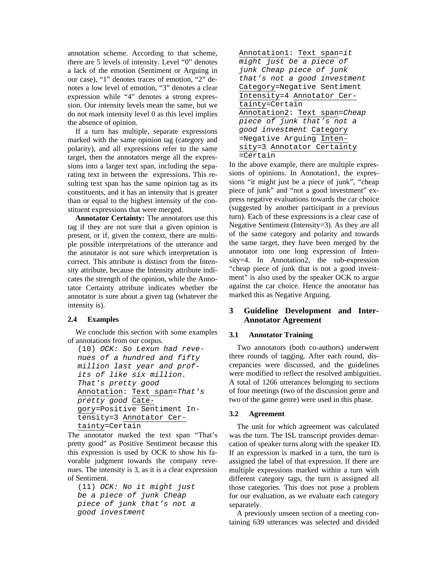annotation scheme. According to that scheme, there are 5 levels of intensity. Level "0" denotes a lack of the emotion (Sentiment or Arguing in our case), "1" denotes traces of emotion, "2" denotes a low level of emotion, "3" denotes a clear expression while "4" denotes a strong expression. Our intensity levels mean the same, but we do not mark intensity level 0 as this level implies the absence of opinion.

If a turn has multiple, separate expressions marked with the same opinion tag (category and polarity), and all expressions refer to the same target, then the annotators merge all the expressions into a larger text span, including the separating text in between the expressions. This resulting text span has the same opinion tag as its constituents, and it has an intensity that is greater than or equal to the highest intensity of the constituent expressions that were merged.

**Annotator Certainty:** The annotators use this tag if they are not sure that a given opinion is present, or if, given the context, there are multiple possible interpretations of the utterance and the annotator is not sure which interpretation is correct. This attribute is distinct from the Intensity attribute, because the Intensity attribute indicates the strength of the opinion, while the Annotator Certainty attribute indicates whether the annotator is sure about a given tag (whatever the intensity is).

## **2.4 Examples**

We conclude this section with some examples of annotations from our corpus.

```
(10) OCK: So Lexun had reve-
nues of a hundred and fifty 
million last year and prof-
its of like six million. 
That's pretty good 
Annotation: Text span=That's 
pretty good Cate-
gory=Positive Sentiment In-
tensity=3 Annotator Cer-
tainty=Certain
```
The annotator marked the text span "That's pretty good" as Positive Sentiment because this this expression is used by OCK to show his favorable judgment towards the company revenues. The intensity is 3, as it is a clear expression of Sentiment.

(11) *OCK: No it might just be a piece of junk Cheap piece of junk that's not a good investment*

| Annotation1: Text span=it    |  |  |  |  |  |  |
|------------------------------|--|--|--|--|--|--|
| might just be a piece of     |  |  |  |  |  |  |
| junk Cheap piece of junk     |  |  |  |  |  |  |
| that's not a good investment |  |  |  |  |  |  |
| Category=Negative Sentiment  |  |  |  |  |  |  |
| Intensity=4 Annotator Cer-   |  |  |  |  |  |  |
| tainty=Certain               |  |  |  |  |  |  |
| Annotation2: Text span=Cheap |  |  |  |  |  |  |
| piece of junk that's not a   |  |  |  |  |  |  |
| good investment Category     |  |  |  |  |  |  |
| =Negative Arguing Inten-     |  |  |  |  |  |  |
| sity=3 Annotator Certainty   |  |  |  |  |  |  |
| =Certain                     |  |  |  |  |  |  |

In the above example, there are multiple expressions of opinions. In Annotation1, the expressions "it might just be a piece of junk", "cheap piece of junk" and "not a good investment" express negative evaluations towards the car choice (suggested by another participant in a previous turn). Each of these expressions is a clear case of Negative Sentiment (Intensity=3). As they are all of the same category and polarity and towards the same target, they have been merged by the annotator into one long expression of Intensity=4. In Annotation2, the sub-expression "cheap piece of junk that is not a good investment" is also used by the speaker OCK to argue against the car choice. Hence the annotator has marked this as Negative Arguing.

# **3 Guideline Development and Inter-Annotator Agreement**

### **3.1 Annotator Training**

Two annotators (both co-authors) underwent three rounds of tagging. After each round, discrepancies were discussed, and the guidelines were modified to reflect the resolved ambiguities. A total of 1266 utterances belonging to sections of four meetings (two of the discussion genre and two of the game genre) were used in this phase.

#### **3.2 Agreement**

The unit for which agreement was calculated was the turn. The ISL transcript provides demarcation of speaker turns along with the speaker ID. If an expression is marked in a turn, the turn is assigned the label of that expression. If there are multiple expressions marked within a turn with different category tags, the turn is assigned all those categories. This does not pose a problem for our evaluation, as we evaluate each category separately.

A previously unseen section of a meeting containing 639 utterances was selected and divided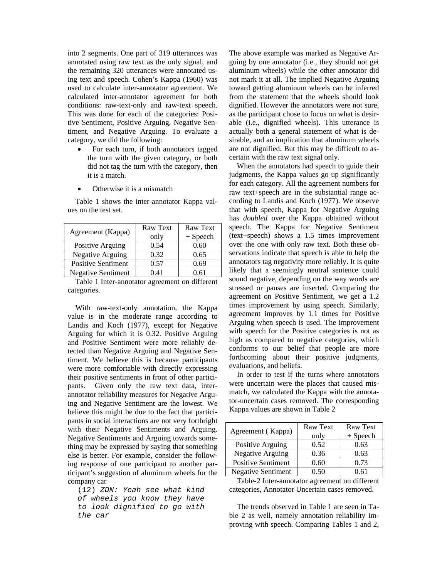into 2 segments. One part of 319 utterances was annotated using raw text as the only signal, and the remaining 320 utterances were annotated using text and speech. Cohen's Kappa (1960) was used to calculate inter-annotator agreement. We calculated inter-annotator agreement for both conditions: raw-text-only and raw-text+speech. This was done for each of the categories: Positive Sentiment, Positive Arguing, Negative Sentiment, and Negative Arguing. To evaluate a category, we did the following:

- For each turn, if both annotators tagged the turn with the given category, or both did not tag the turn with the category, then it is a match.
- Otherwise it is a mismatch

Agreement (Kappa)  $\begin{array}{|c|c|} \hline \text{Raw Text} \end{array}$ only Raw Text + Speech Positive Arguing  $\begin{array}{|c|c|} \hline 0.54 & 0.60 \hline \end{array}$ Negative Arguing  $\begin{array}{|c|c|c|} \hline 0.32 & 0.65 \end{array}$ Positive Sentiment  $\vert$  0.57 0.69 Negative Sentiment 0.41 0.61

Table 1 shows the inter-annotator Kappa values on the test set.

Table 1 Inter-annotator agreement on different categories.

With raw-text-only annotation, the Kappa value is in the moderate range according to Landis and Koch (1977), except for Negative Arguing for which it is 0.32. Positive Arguing and Positive Sentiment were more reliably detected than Negative Arguing and Negative Sentiment. We believe this is because participants were more comfortable with directly expressing their positive sentiments in front of other participants. Given only the raw text data, interannotator reliability measures for Negative Arguing and Negative Sentiment are the lowest. We believe this might be due to the fact that participants in social interactions are not very forthright with their Negative Sentiments and Arguing. Negative Sentiments and Arguing towards something may be expressed by saying that something else is better. For example, consider the following response of one participant to another participant's suggestion of aluminum wheels for the company car

(12) *ZDN: Yeah see what kind of wheels you know they have to look dignified to go with the car* 

The above example was marked as Negative Arguing by one annotator (i.e., they should not get aluminum wheels) while the other annotator did not mark it at all. The implied Negative Arguing toward getting aluminum wheels can be inferred from the statement that the wheels should look dignified. However the annotators were not sure, as the participant chose to focus on what is desirable (i.e., dignified wheels). This utterance is actually both a general statement of what is desirable, and an implication that aluminum wheels are not dignified. But this may be difficult to ascertain with the raw text signal only.

When the annotators had speech to guide their judgments, the Kappa values go up significantly for each category. All the agreement numbers for raw text+speech are in the substantial range according to Landis and Koch (1977). We observe that with speech, Kappa for Negative Arguing has *doubled* over the Kappa obtained without speech. The Kappa for Negative Sentiment (text+speech) shows a 1.5 times improvement over the one with only raw text. Both these observations indicate that speech is able to help the annotators tag negativity more reliably. It is quite likely that a seemingly neutral sentence could sound negative, depending on the way words are stressed or pauses are inserted. Comparing the agreement on Positive Sentiment, we get a 1.2 times improvement by using speech. Similarly, agreement improves by 1.1 times for Positive Arguing when speech is used. The improvement with speech for the Positive categories is not as high as compared to negative categories, which conforms to our belief that people are more forthcoming about their positive judgments, evaluations, and beliefs.

In order to test if the turns where annotators were uncertain were the places that caused mismatch, we calculated the Kappa with the annotator-uncertain cases removed. The corresponding Kappa values are shown in Table 2

| Agreement (Kappa)         | Raw Text | Raw Text   |  |
|---------------------------|----------|------------|--|
|                           | only     | $+$ Speech |  |
| Positive Arguing          | 0.52     | 0.63       |  |
| <b>Negative Arguing</b>   | 0.36     | 0.63       |  |
| <b>Positive Sentiment</b> | 0.60     | 0.73       |  |
| <b>Negative Sentiment</b> | 0.50     | 0.61       |  |

Table-2 Inter-annotator agreement on different categories, Annotator Uncertain cases removed.

The trends observed in Table 1 are seen in Table 2 as well, namely annotation reliability improving with speech. Comparing Tables 1 and 2,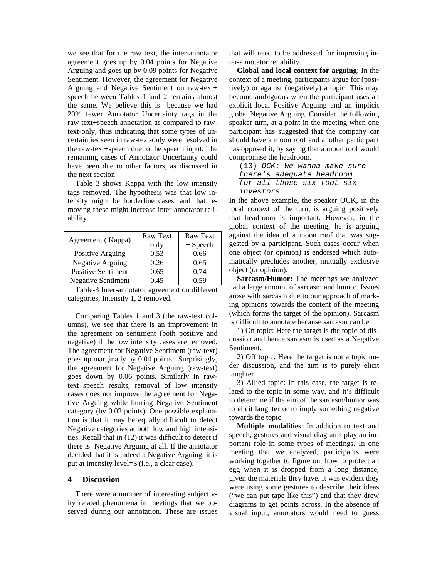we see that for the raw text, the inter-annotator agreement goes up by 0.04 points for Negative Arguing and goes up by 0.09 points for Negative Sentiment. However, the agreement for Negative Arguing and Negative Sentiment on raw-text+ speech between Tables 1 and 2 remains almost the same. We believe this is because we had 20% fewer Annotator Uncertainty tags in the raw-text+speech annotation as compared to rawtext-only, thus indicating that some types of uncertainties seen in raw-text-only were resolved in the raw-text+speech due to the speech input. The remaining cases of Annotator Uncertainty could have been due to other factors, as discussed in the next section

Table 3 shows Kappa with the low intensity tags removed. The hypothesis was that low intensity might be borderline cases, and that removing these might increase inter-annotator reliability.

| Agreement (Kappa)         | Raw Text | Raw Text   |  |
|---------------------------|----------|------------|--|
|                           | only     | $+$ Speech |  |
| Positive Arguing          | 0.53     | 0.66       |  |
| <b>Negative Arguing</b>   | 0.26     | 0.65       |  |
| <b>Positive Sentiment</b> | 0.65     | 0.74       |  |
| <b>Negative Sentiment</b> | 0.45     | 0.59       |  |

Table-3 Inter-annotator agreement on different categories, Intensity 1, 2 removed.

Comparing Tables 1 and 3 (the raw-text columns), we see that there is an improvement in the agreement on sentiment (both positive and negative) if the low intensity cases are removed. The agreement for Negative Sentiment (raw-text) goes up marginally by 0.04 points. Surprisingly, the agreement for Negative Arguing (raw-text) goes down by 0.06 points. Similarly in rawtext+speech results, removal of low intensity cases does not improve the agreement for Negative Arguing while hurting Negative Sentiment category (by 0.02 points). One possible explanation is that it may be equally difficult to detect Negative categories at both low and high intensities. Recall that in (12) it was difficult to detect if there is Negative Arguing at all. If the annotator decided that it is indeed a Negative Arguing, it is put at intensity level=3 (i.e., a clear case).

### **4 Discussion**

There were a number of interesting subjectivity related phenomena in meetings that we observed during our annotation. These are issues

that will need to be addressed for improving inter-annotator reliability.

**Global and local context for arguing**: In the context of a meeting, participants argue for (positively) or against (negatively) a topic. This may become ambiguous when the participant uses an explicit local Positive Arguing and an implicit global Negative Arguing. Consider the following speaker turn, at a point in the meeting when one participant has suggested that the company car should have a moon roof and another participant has opposed it, by saying that a moon roof would compromise the headroom.

(13) *OCK: We wanna make sure there's adequate headroom for all those six foot six investors*

In the above example, the speaker OCK, in the local context of the turn, is arguing positively that headroom is important. However, in the global context of the meeting, he is arguing against the idea of a moon roof that was suggested by a participant. Such cases occur when one object (or opinion) is endorsed which automatically precludes another, mutually exclusive object (or opinion).

**Sarcasm/Humor:** The meetings we analyzed had a large amount of sarcasm and humor. Issues arose with sarcasm due to our approach of marking opinions towards the content of the meeting (which forms the target of the opinion). Sarcasm is difficult to annotate because sarcasm can be

1) On topic: Here the target is the topic of discussion and hence sarcasm is used as a Negative Sentiment.

2) Off topic: Here the target is not a topic under discussion, and the aim is to purely elicit laughter.

3) Allied topic: In this case, the target is related to the topic in some way, and it's difficult to determine if the aim of the sarcasm/humor was to elicit laughter or to imply something negative towards the topic.

**Multiple modalities**: In addition to text and speech, gestures and visual diagrams play an important role in some types of meetings. In one meeting that we analyzed, participants were working together to figure out how to protect an egg when it is dropped from a long distance, given the materials they have. It was evident they were using some gestures to describe their ideas ("we can put tape like this") and that they drew diagrams to get points across. In the absence of visual input, annotators would need to guess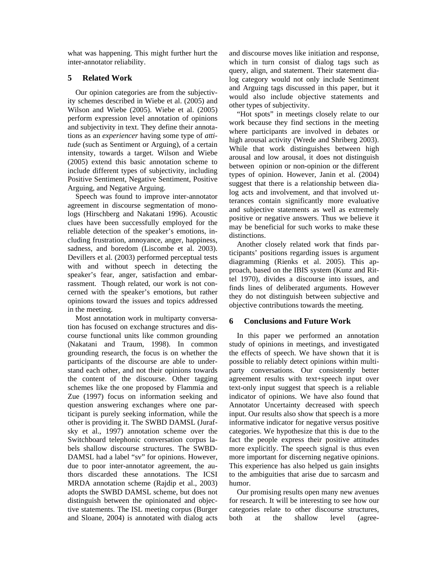what was happening. This might further hurt the inter-annotator reliability.

## **5 Related Work**

Our opinion categories are from the subjectivity schemes described in Wiebe et al. (2005) and Wilson and Wiebe (2005). Wiebe et al. (2005) perform expression level annotation of opinions and subjectivity in text. They define their annotations as an *experiencer* having some type of *attitude* (such as Sentiment or Arguing), of a certain intensity, towards a target. Wilson and Wiebe (2005) extend this basic annotation scheme to include different types of subjectivity, including Positive Sentiment, Negative Sentiment, Positive Arguing, and Negative Arguing.

Speech was found to improve inter-annotator agreement in discourse segmentation of monologs (Hirschberg and Nakatani 1996). Acoustic clues have been successfully employed for the reliable detection of the speaker's emotions, including frustration, annoyance, anger, happiness, sadness, and boredom (Liscombe et al. 2003). Devillers et al. (2003) performed perceptual tests with and without speech in detecting the speaker's fear, anger, satisfaction and embarrassment. Though related, our work is not concerned with the speaker's emotions, but rather opinions toward the issues and topics addressed in the meeting.

Most annotation work in multiparty conversation has focused on exchange structures and discourse functional units like common grounding (Nakatani and Traum, 1998). In common grounding research, the focus is on whether the participants of the discourse are able to understand each other, and not their opinions towards the content of the discourse. Other tagging schemes like the one proposed by Flammia and Zue (1997) focus on information seeking and question answering exchanges where one participant is purely seeking information, while the other is providing it. The SWBD DAMSL (Jurafsky et al., 1997) annotation scheme over the Switchboard telephonic conversation corpus labels shallow discourse structures. The SWBD-DAMSL had a label "sv" for opinions. However, due to poor inter-annotator agreement, the authors discarded these annotations. The ICSI MRDA annotation scheme (Rajdip et al., 2003) adopts the SWBD DAMSL scheme, but does not distinguish between the opinionated and objective statements. The ISL meeting corpus (Burger and Sloane, 2004) is annotated with dialog acts and discourse moves like initiation and response, which in turn consist of dialog tags such as query, align, and statement. Their statement dialog category would not only include Sentiment and Arguing tags discussed in this paper, but it would also include objective statements and other types of subjectivity.

"Hot spots" in meetings closely relate to our work because they find sections in the meeting where participants are involved in debates or high arousal activity (Wrede and Shriberg 2003). While that work distinguishes between high arousal and low arousal, it does not distinguish between opinion or non-opinion or the different types of opinion. However, Janin et al. (2004) suggest that there is a relationship between dialog acts and involvement, and that involved utterances contain significantly more evaluative and subjective statements as well as extremely positive or negative answers. Thus we believe it may be beneficial for such works to make these distinctions.

Another closely related work that finds participants' positions regarding issues is argument diagramming (Rienks et al. 2005). This approach, based on the IBIS system (Kunz and Rittel 1970), divides a discourse into issues, and finds lines of deliberated arguments. However they do not distinguish between subjective and objective contributions towards the meeting.

## **6 Conclusions and Future Work**

In this paper we performed an annotation study of opinions in meetings, and investigated the effects of speech. We have shown that it is possible to reliably detect opinions within multiparty conversations. Our consistently better agreement results with text+speech input over text-only input suggest that speech is a reliable indicator of opinions. We have also found that Annotator Uncertainty decreased with speech input. Our results also show that speech is a more informative indicator for negative versus positive categories. We hypothesize that this is due to the fact the people express their positive attitudes more explicitly. The speech signal is thus even more important for discerning negative opinions. This experience has also helped us gain insights to the ambiguities that arise due to sarcasm and humor.

Our promising results open many new avenues for research. It will be interesting to see how our categories relate to other discourse structures, both at the shallow level (agree